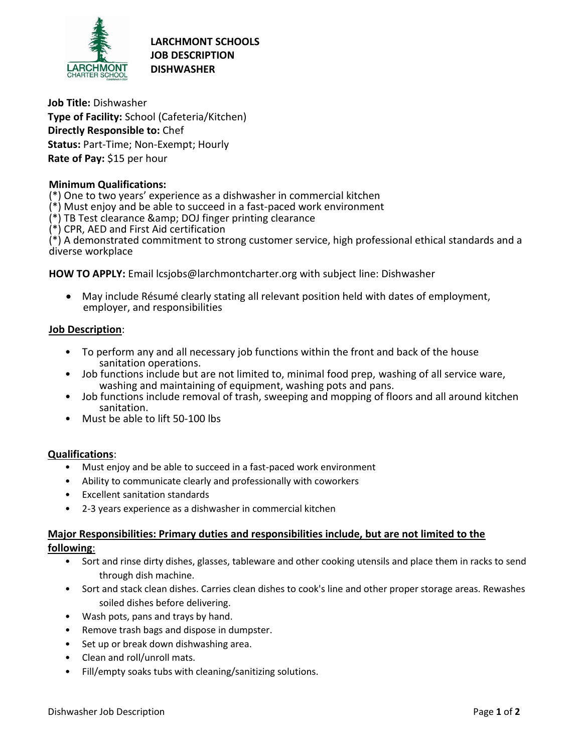

**LARCHMONT SCHOOLS JOB DESCRIPTION DISHWASHER**

**Job Title:** Dishwasher **Type of Facility:** School (Cafeteria/Kitchen) **Directly Responsible to:** Chef **Status:** Part-Time; Non-Exempt; Hourly **Rate of Pay:** \$15 per hour

## **Minimum Qualifications:**

(\*) One to two years' experience as a dishwasher in commercial kitchen

- (\*) Must enjoy and be able to succeed in a fast-paced work environment
- $(*)$  TB Test clearance & amp; DOJ finger printing clearance
- (\*) CPR, AED and First Aid certification

(\*) A demonstrated commitment to strong customer service, high professional ethical standards and a diverse workplace

**HOW TO APPLY:** Email lcsjobs@larchmontcharter.org with subject line: Dishwasher

 May include Résumé clearly stating all relevant position held with dates of employment, employer, and responsibilities

## **Job Description**:

- To perform any and all necessary job functions within the front and back of the house sanitation operations.
- Job functions include but are not limited to, minimal food prep, washing of all service ware, washing and maintaining of equipment, washing pots and pans.
- Job functions include removal of trash, sweeping and mopping of floors and all around kitchen sanitation.
- Must be able to lift 50-100 lbs

## **Qualifications**:

- Must enjoy and be able to succeed in a fast-paced work environment
- Ability to communicate clearly and professionally with coworkers
- Excellent sanitation standards
- 2-3 years experience as a dishwasher in commercial kitchen

# **Major Responsibilities: Primary duties and responsibilities include, but are not limited to the following**:

- Sort and rinse dirty dishes, glasses, tableware and other cooking utensils and place them in racks to send through dish machine.
- Sort and stack clean dishes. Carries clean dishes to cook's line and other proper storage areas. Rewashes soiled dishes before delivering.
- Wash pots, pans and trays by hand.
- Remove trash bags and dispose in dumpster.
- Set up or break down dishwashing area.
- Clean and roll/unroll mats.
- Fill/empty soaks tubs with cleaning/sanitizing solutions.